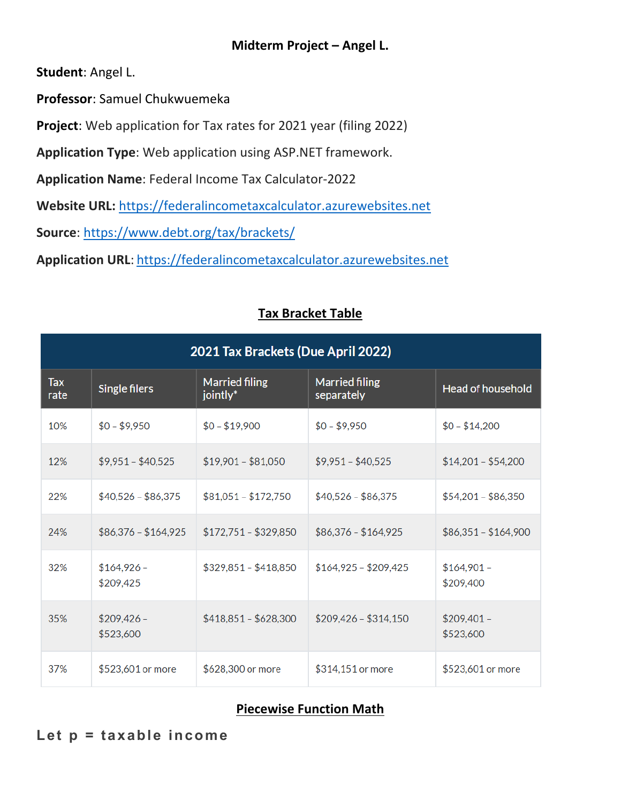## **Midterm Project – Angel L.**

**Student**: Angel L.

**Professor**: Samuel Chukwuemeka

**Project**: Web application for Tax rates for 2021 year (filing 2022)

**Application Type**: Web application using ASP.NET framework.

**Application Name**: Federal Income Tax Calculator‐2022

**Website URL:** https://federalincometaxcalculator.azurewebsites.net

**Source**: https://www.debt.org/tax/brackets/

**Application URL**: https://federalincometaxcalculator.azurewebsites.net

| 2021 Tax Brackets (Due April 2022) |                           |                                   |                                     |                           |
|------------------------------------|---------------------------|-----------------------------------|-------------------------------------|---------------------------|
| <b>Tax</b><br>rate                 | Single filers             | <b>Married filing</b><br>jointly* | <b>Married filing</b><br>separately | <b>Head of household</b>  |
| 10%                                | $$0 - $9,950$             | $$0 - $19,900$                    | $$0 - $9,950$                       | $$0 - $14,200$            |
| 12%                                | $$9,951 - $40,525$        | $$19,901 - $81,050$               | $$9,951 - $40,525$                  | $$14,201 - $54,200$       |
| 22%                                | $$40,526 - $86,375$       | $$81,051 - $172,750$              | $$40,526 - $86,375$                 | $$54,201 - $86,350$       |
| 24%                                | $$86,376 - $164,925$      | $$172,751 - $329,850$             | $$86,376 - $164,925$                | $$86,351 - $164,900$      |
| 32%                                | $$164,926 -$<br>\$209,425 | $$329,851 - $418,850$             | $$164,925 - $209,425$               | $$164,901 -$<br>\$209,400 |
| 35%                                | $$209,426 -$<br>\$523,600 | $$418,851 - $628,300$             | $$209,426 - $314,150$               | $$209,401 -$<br>\$523,600 |
| 37%                                | \$523,601 or more         | \$628,300 or more                 | \$314,151 or more                   | \$523,601 or more         |

## **Tax Bracket Table**

## **Piecewise Function Math**

**Let p = taxable income**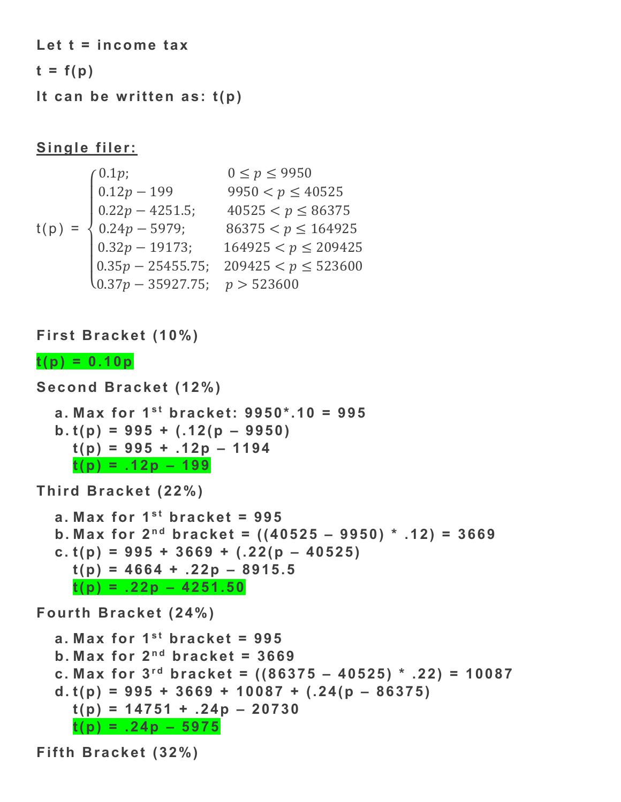**Let t = income tax** 

 $t = f(p)$ 

**It can be written as: t(p)** 

# **Single filer:**

$$
t(p) = \begin{cases} 0.1p; & 0 \le p \le 9950 \\ 0.12p - 199 & 9950 < p \le 40525 \\ 0.22p - 4251.5; & 40525 < p \le 86375 \\ 0.24p - 5979; & 86375 < p \le 164925 \\ 0.32p - 19173; & 164925 < p \le 209425 \\ 0.35p - 25455.75; & 209425 < p \le 523600 \\ 0.37p - 35927.75; & p > 523600 \end{cases}
$$

**First Bracket (10%)** 

## $t(p) = 0.10p$

```
Second Bracket (12%) 
  a. Max for 1s t bracket: 9950*.10 = 995 
  b. t(p) = 995 + (.12(p – 9950) 
    t(p) = 995 + .12p – 1194 
    t(p) = .12p – 199 
Third Bracket (22%) 
  a. Max for 1<sup>st</sup> bracket = 995
  b. Max for 2^{nd} bracket = ((40525 – 9950) * .12) = 3669
  c. t(p) = 995 + 3669 + (.22(p – 40525) 
    t(p) = 4664 + .22p – 8915.5 
    t(p) = .22p – 4251.50 
Fourth Bracket (24%) 
  a. Max for 1<sup>st</sup> bracket = 995
  b. Max for 2^{nd} bracket = 3669
  c. Max for 3^{rd} bracket = ((86375 - 40525) * .22) = 10087d. t(p) = 995 + 3669 + 10087 + (.24(p – 86375) 
    t(p) = 14751 + .24p – 20730 
    t(p) = .24p – 5975
```
**Fifth Bracket (32%)**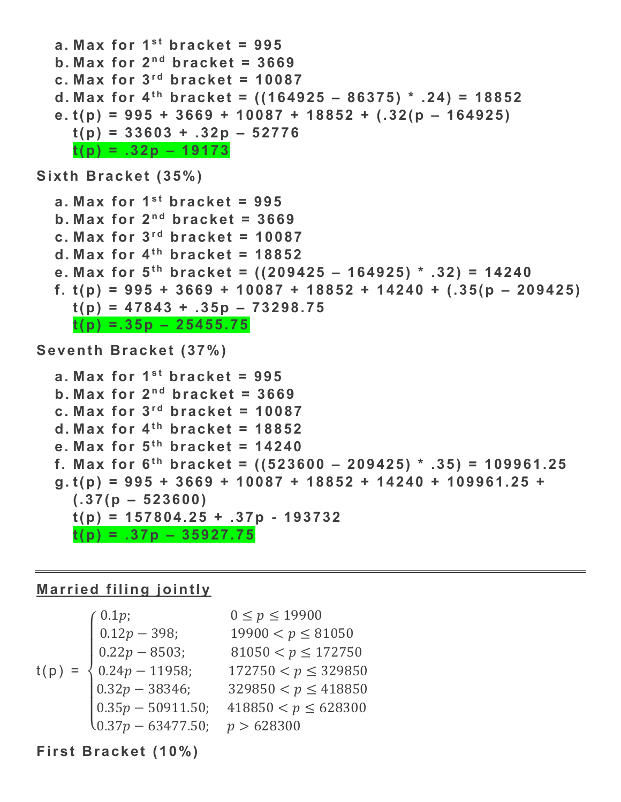```
a. Max for 1<sup>st</sup> bracket = 995
  b. Max for 2^{nd} bracket = 3669
  c. Max for 3<sup>rd</sup> bracket = 10087
  d. Max for 4^{th} bracket = ((164925 – 86375) * .24) = 18852
  e. t(p) = 995 + 3669 + 10087 + 18852 + (.32(p – 164925) 
    t(p) = 33603 + .32p – 52776 
    t(p) = .32p – 19173 
Sixth Bracket (35%) 
  a. Max for 1<sup>st</sup> bracket = 995
  b. Max for 2^{nd} bracket = 3669
  c. Max for 3<sup>rd</sup> bracket = 10087
  d. Max for 4<sup>th</sup> bracket = 18852
  e. Max for 5^{th} bracket = ((209425 – 164925) * .32) = 14240
  f. t(p) = 995 + 3669 + 10087 + 18852 + 14240 + (.35(p – 209425)
    t(p) = 47843 + .35p – 73298.75 
    t(p) =.35p – 25455.75 
Seventh Bracket (37%) 
  a. Max for 1<sup>st</sup> bracket = 995
  b. Max for 2^{nd} bracket = 3669
  c. Max for 3<sup>rd</sup> bracket = 10087
  d. Max for 4<sup>th</sup> bracket = 18852
  e. Max for 5^{th} bracket = 14240
  f. Max for 6^{th} bracket = ((523600 - 209425) * .35) = 109961.25g. t(p) = 995 + 3669 + 10087 + 18852 + 14240 + 109961.25 +
```

```
(.37(p – 523600)
```

```
t(p) = 157804.25 + .37p - 193732
```
**t(p) = .37p – 35927.75** 

### **Married filing jointly**

$$
t(p) = \begin{cases} 0.1p; & 0 \le p \le 19900 \\ 0.12p - 398; & 19900 < p \le 81050 \\ 0.22p - 8503; & 81050 < p \le 172750 \\ 0.24p - 11958; & 172750 < p \le 329850 \\ 0.32p - 38346; & 329850 < p \le 418850 \\ 0.35p - 50911.50; & 418850 < p \le 628300 \\ 0.37p - 63477.50; & p > 628300 \end{cases}
$$

## **First Bracket (10%)**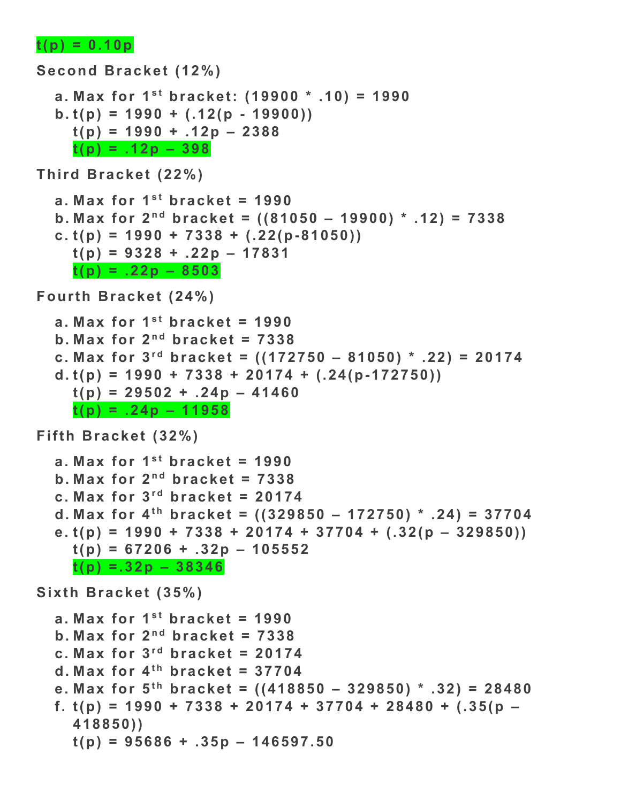#### $t(p) = 0.10p$

```
Second Bracket (12%) 
  a. Max for 1^{st} bracket: (19900 * .10) = 1990b. t(p) = 1990 + (.12(p - 19900)) 
    t(p) = 1990 + .12p – 2388 
    t(p) = .12p – 398
```
**Third Bracket (22%)** 

```
a. Max for 1st bracket = 1990
b. Max for 2^{nd} bracket = ((81050 – 19900) * .12) = 7338
c. t(p) = 1990 + 7338 + (.22(p-81050)) 
  t(p) = 9328 + .22p – 17831 
  t(p) = .22p – 8503
```
**Fourth Bracket (24%)** 

```
a. Max for 1<sup>st</sup> bracket = 1990
b. Max for 2^{nd} bracket = 7338
c. Max for 3^{rd} bracket = ((172750 - 81050) * .22) = 20174d. t(p) = 1990 + 7338 + 20174 + (.24(p-172750)) 
  t(p) = 29502 + .24p - 41460t(p) = .24p – 11958
```
**Fifth Bracket (32%)** 

```
a. Max for 1<sup>st</sup> bracket = 1990
b. Max for 2^{nd} bracket = 7338
c. Max for 3<sup>rd</sup> bracket = 20174
d. Max for 4^{th} bracket = ((329850 - 172750) * .24) = 37704e. t(p) = 1990 + 7338 + 20174 + 37704 + (.32(p – 329850)) 
  t(p) = 67206 + .32p – 105552 
  t(p) =.32p – 38346
```
**Sixth Bracket (35%)** 

```
a. Max for 1<sup>st</sup> bracket = 1990
b. Max for 2^{nd} bracket = 7338
c. Max for 3<sup>rd</sup> bracket = 20174
d. Max for 4<sup>th</sup> bracket = 37704
e. Max for 5^{th} bracket = ((418850 - 329850) * .32) = 28480f. t(p) = 1990 + 7338 + 20174 + 37704 + 28480 + (.35(p – 
  418850)) 
  t(p) = 95686 + .35p – 146597.50
```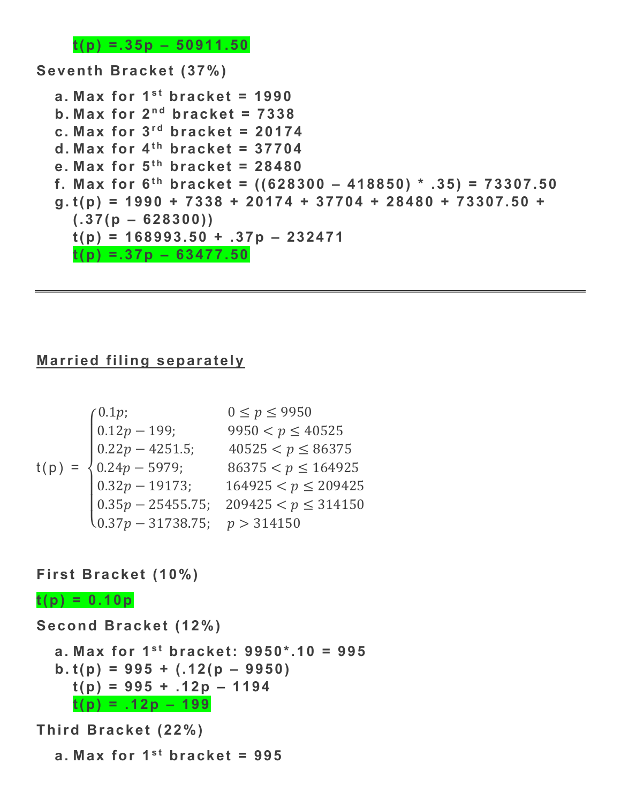**t(p) =.35p – 50911.50** 

**Seventh Bracket (37%)** 

```
a. Max for 1<sup>st</sup> bracket = 1990b. Max for 2^{nd} bracket = 7338c. Max for 3<sup>rd</sup> bracket = 20174
d. Max for 4<sup>th</sup> bracket = 37704
e. Max for 5^{th} bracket = 28480
f. Max for 6^{th} bracket = ((628300 - 418850) * .35) = 73307.50g. t(p) = 1990 + 7338 + 20174 + 37704 + 28480 + 73307.50 + 
  (.37(p – 628300)) 
  t(p) = 168993.50 + .37p – 232471 
  t(p) =.37p – 63477.50
```
# **Married filing separately**

$$
t(p) = \begin{cases} 0.1p; & 0 \le p \le 9950 \\ 0.12p - 199; & 9950 < p \le 40525 \\ 0.22p - 4251.5; & 40525 < p \le 86375 \\ 0.24p - 5979; & 86375 < p \le 164925 \\ 0.32p - 19173; & 164925 < p \le 209425 \\ 0.35p - 25455.75; & 209425 < p \le 314150 \\ 0.37p - 31738.75; & p > 314150 \end{cases}
$$

**First Bracket (10%)** 

#### $t(p) = 0.10p$

**Second Bracket (12%)** 

**a. Max for**  $1^{st}$  **bracket: 9950\*.10 = 995 b. t(p) = 995 + (.12(p – 9950) t(p) = 995 + .12p – 1194 t(p) = .12p – 199** 

**Third Bracket (22%)** 

a. Max for  $1<sup>st</sup>$  bracket = 995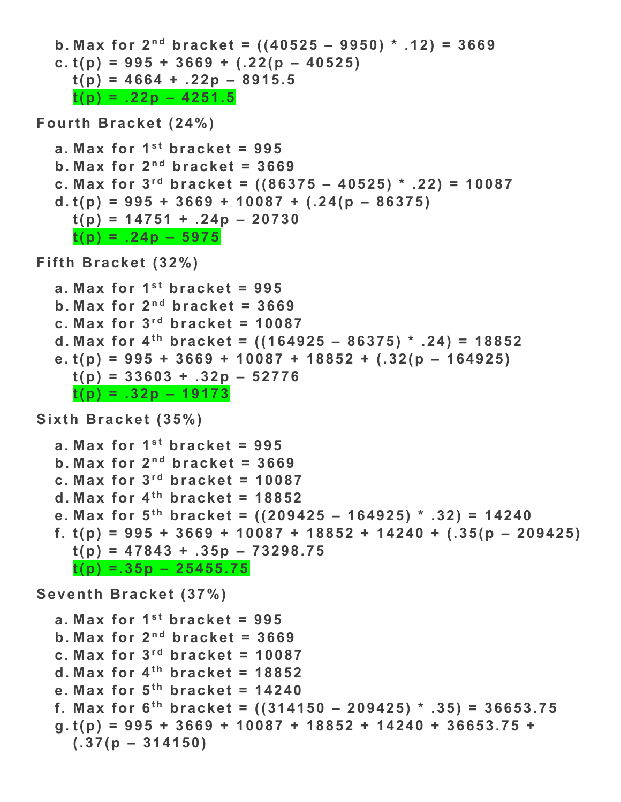```
b. Max for 2^{nd} bracket = ((40525 – 9950) * .12) = 3669
  c. t(p) = 995 + 3669 + (.22(p – 40525) 
    t(p) = 4664 + .22p – 8915.5 
    t(p) = .22p – 4251.5 
Fourth Bracket (24%) 
  a. Max for 1<sup>st</sup> bracket = 995
  b. Max for 2^{nd} bracket = 3669
  c. Max for 3^{rd} bracket = ((86375 - 40525) * .22) = 10087d. t(p) = 995 + 3669 + 10087 + (.24(p – 86375) 
    t(p) = 14751 + .24p – 20730 
    t(p) = .24p – 5975 
Fifth Bracket (32%) 
  a. Max for 1<sup>st</sup> bracket = 995
  b. Max for 2^{nd} bracket = 3669
  c. Max for 3<sup>rd</sup> bracket = 10087
  d. Max for 4^{th} bracket = ((164925 - 86375) * .24) = 18852e. t(p) = 995 + 3669 + 10087 + 18852 + (.32(p – 164925) 
    t(p) = 33603 + .32p – 52776 
    t(p) = .32p – 19173 
Sixth Bracket (35%) 
  a. Max for 1<sup>st</sup> bracket = 995
  b. Max for 2^{nd} bracket = 3669
  c. Max for 3<sup>rd</sup> bracket = 10087
  d. Max for 4<sup>th</sup> bracket = 18852
  e. Max for 5<sup>th</sup> bracket = ((209425 – 164925) * .32) = 14240
  f. t(p) = 995 + 3669 + 10087 + 18852 + 14240 + (.35(p – 209425)
    t(p) = 47843 + .35p – 73298.75 
    t(p) =.35p – 25455.75 
Seventh Bracket (37%) 
  a. Max for 1<sup>st</sup> bracket = 995
  b. Max for 2^{nd} bracket = 3669
  c. Max for 3<sup>rd</sup> bracket = 10087
  d. Max for 4<sup>th</sup> bracket = 18852
  e. Max for 5^{th} bracket = 14240
  f. Max for 6^{th} bracket = ((314150 - 209425) * .35) = 36653.75g. t(p) = 995 + 3669 + 10087 + 18852 + 14240 + 36653.75 + 
    (.37(p – 314150)
```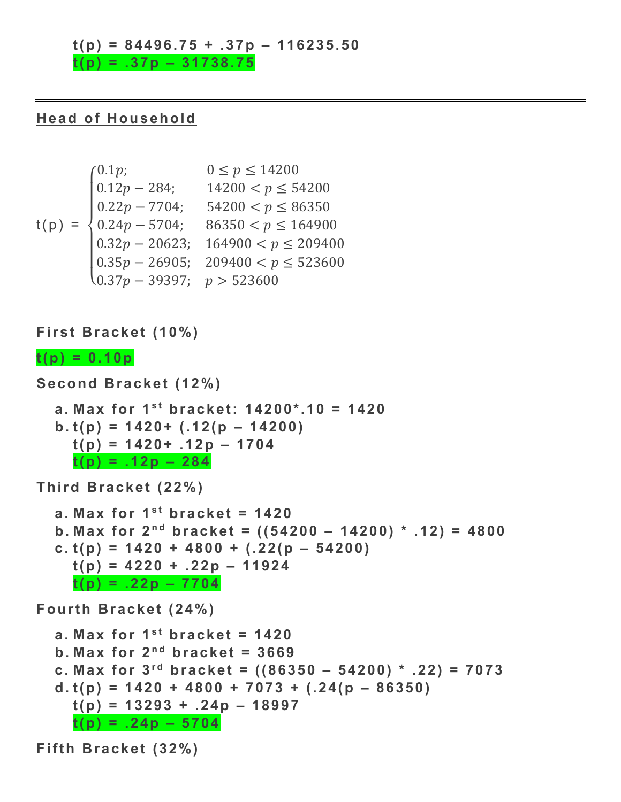#### **t(p) = 84496.75 + .37p – 116235.50**

**t(p) = .37p – 31738.75** 

#### **Head of Household**

$$
t(p) = \begin{cases} 0.1p; & 0 \le p \le 14200 \\ 0.12p - 284; & 14200 < p \le 54200 \\ 0.22p - 7704; & 54200 < p \le 86350 \\ 0.24p - 5704; & 86350 < p \le 164900 \\ 0.32p - 20623; & 164900 < p \le 209400 \\ 0.35p - 26905; & 209400 < p \le 523600 \\ 0.37p - 39397; & p > 523600 \end{cases}
$$

**First Bracket (10%)** 

#### $t(p) = 0.10p$

```
Second Bracket (12%) 
  a. Max for 1st bracket: 14200*.10 = 1420
  b. t(p) = 1420+ (.12(p – 14200) 
    t(p) = 1420+ .12p – 1704 
    t(p) = .12p – 284
```
**Third Bracket (22%)** 

```
a. Max for 1<sup>st</sup> bracket = 1420b. Max for 2^{nd} bracket = ((54200 – 14200) * .12) = 4800
c. t(p) = 1420 + 4800 + (.22(p – 54200) 
  t(p) = 4220 + .22p – 11924 
  t(p) = .22p – 7704
```
**Fourth Bracket (24%)** 

```
a. Max for 1<sup>st</sup> bracket = 1420b. Max for 2^{nd} bracket = 3669
c. Max for 3^{rd} bracket = ((86350 - 54200) * .22) = 7073d. t(p) = 1420 + 4800 + 7073 + (.24(p – 86350) 
  t(p) = 13293 + .24p – 18997 
  t(p) = .24p – 5704
```
**Fifth Bracket (32%)**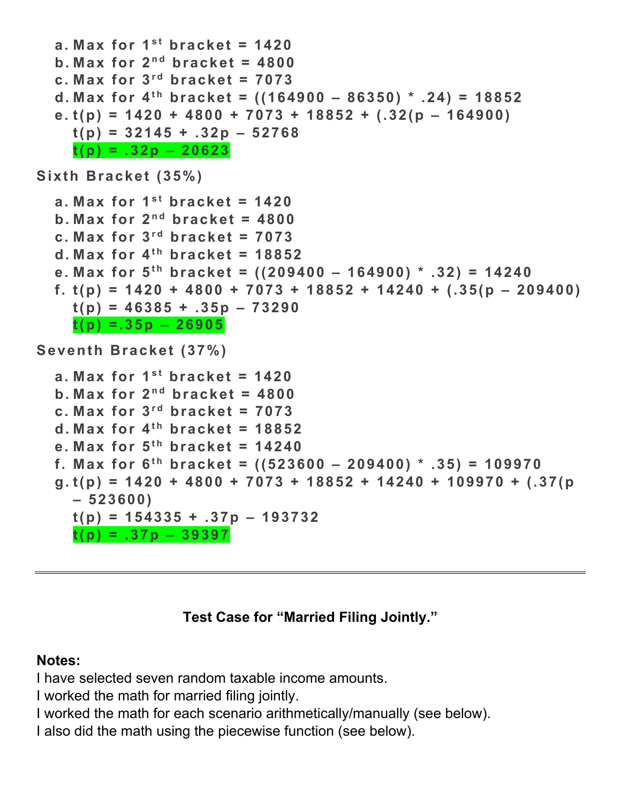```
a. Max for 1<sup>st</sup> bracket = 1420b. Max for 2^{nd} bracket = 4800
  c. Max for 3<sup>rd</sup> bracket = 7073d. Max for 4^{th} bracket = ((164900 - 86350) * .24) = 18852e. t(p) = 1420 + 4800 + 7073 + 18852 + (.32(p – 164900) 
    t(p) = 32145 + .32p – 52768 
    t(p) = .32p – 20623 
Sixth Bracket (35%) 
  a. Max for 1<sup>st</sup> bracket = 1420b. Max for 2^{nd} bracket = 4800
  c. Max for 3<sup>rd</sup> bracket = 7073d. Max for 4<sup>th</sup> bracket = 18852
  e. Max for 5<sup>th</sup> bracket = ((209400 – 164900) * .32) = 14240
  f. t(p) = 1420 + 4800 + 7073 + 18852 + 14240 + (.35(p – 209400)
    t(p) = 46385 + .35p – 73290 
    t(p) =.35p – 26905 
Seventh Bracket (37%) 
  a. Max for 1<sup>st</sup> bracket = 1420b. Max for 2^{nd} bracket = 4800
  c. Max for 3<sup>rd</sup> bracket = 7073d. Max for 4<sup>th</sup> bracket = 18852
  e. Max for 5^{th} bracket = 14240
  f. Max for 6^{th} bracket = ((523600 - 209400) * .35) = 109970
  g. t(p) = 1420 + 4800 + 7073 + 18852 + 14240 + 109970 + (.37(p 
    – 523600) 
    t(p) = 154335 + .37p – 193732 
    t(p) = .37p – 39397
```
## **Test Case for "Married Filing Jointly."**

#### **Notes:**

I have selected seven random taxable income amounts.

I worked the math for married filing jointly.

I worked the math for each scenario arithmetically/manually (see below).

I also did the math using the piecewise function (see below).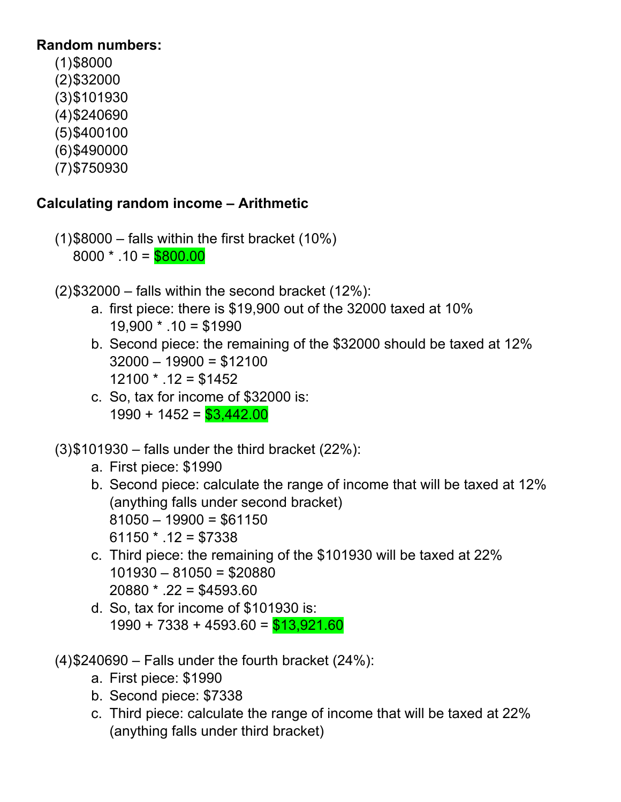# **Random numbers:**

 $(1)$ \$8000 (2) \$32000 (3) \$101930 (4) \$240690 (5) \$400100 (6) \$490000 (7) \$750930

# **Calculating random income – Arithmetic**

- $(1)$ \$8000 falls within the first bracket (10%)  $8000 * .10 = $800.00$
- $(2)$ \$32000 falls within the second bracket (12%):
	- a. first piece: there is \$19,900 out of the 32000 taxed at 10%  $19,900 * .10 = $1990$
	- b. Second piece: the remaining of the \$32000 should be taxed at 12%  $32000 - 19900 = $12100$  $12100 * .12 = $1452$
	- c. So, tax for income of \$32000 is:  $1990 + 1452 = $3,442.00$
- $(3)$ \$101930 falls under the third bracket (22%):
	- a. First piece: \$1990
	- b. Second piece: calculate the range of income that will be taxed at 12% (anything falls under second bracket)  $81050 - 19900 = $61150$  $61150 * .12 = $7338$
	- c. Third piece: the remaining of the \$101930 will be taxed at 22% 101930 – 81050 = \$20880  $20880 * 0.22 = $4593.60$
	- d. So, tax for income of \$101930 is:  $1990 + 7338 + 4593.60 = $13,921.60$
- $(4)$ \$240690 Falls under the fourth bracket (24%):
	- a. First piece: \$1990
	- b. Second piece: \$7338
	- c. Third piece: calculate the range of income that will be taxed at 22% (anything falls under third bracket)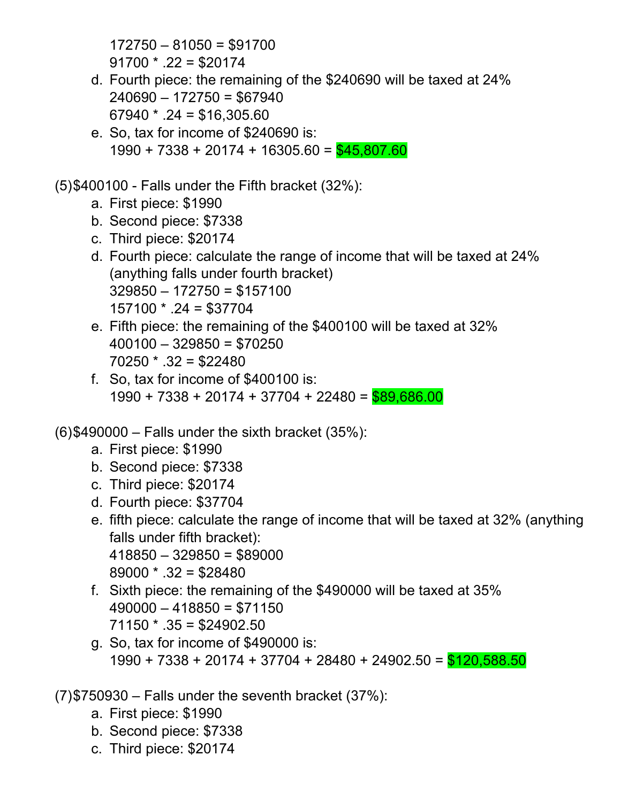172750 – 81050 = \$91700  $91700 * .22 = $20174$ 

- d. Fourth piece: the remaining of the \$240690 will be taxed at 24% 240690 – 172750 = \$67940  $67940 * .24 = $16,305.60$
- e. So, tax for income of \$240690 is:  $1990 + 7338 + 20174 + 16305.60 = $45,807.60$

# (5) \$400100 - Falls under the Fifth bracket (32%):

- a. First piece: \$1990
- b. Second piece: \$7338
- c. Third piece: \$20174
- d. Fourth piece: calculate the range of income that will be taxed at 24% (anything falls under fourth bracket)  $329850 - 172750 = $157100$ 157100 \* .24 = \$37704
- e. Fifth piece: the remaining of the \$400100 will be taxed at 32%  $400100 - 329850 = $70250$  $70250 * .32 = $22480$
- f. So, tax for income of \$400100 is:  $1990 + 7338 + 20174 + 37704 + 22480 = $89.686.00$
- $(6)$ \$490000 Falls under the sixth bracket (35%):
	- a. First piece: \$1990
	- b. Second piece: \$7338
	- c. Third piece: \$20174
	- d. Fourth piece: \$37704
	- e. fifth piece: calculate the range of income that will be taxed at 32% (anything falls under fifth bracket):  $418850 - 329850 = $89000$  $89000 * .32 = $28480$
	- f. Sixth piece: the remaining of the \$490000 will be taxed at 35%  $490000 - 418850 = $71150$  $71150 * .35 = $24902.50$
	- g. So, tax for income of \$490000 is: 1990 + 7338 + 20174 + 37704 + 28480 + 24902.50 = \$120,588.50
- $(7)$ \$750930 Falls under the seventh bracket  $(37%)$ :
	- a. First piece: \$1990
	- b. Second piece: \$7338
	- c. Third piece: \$20174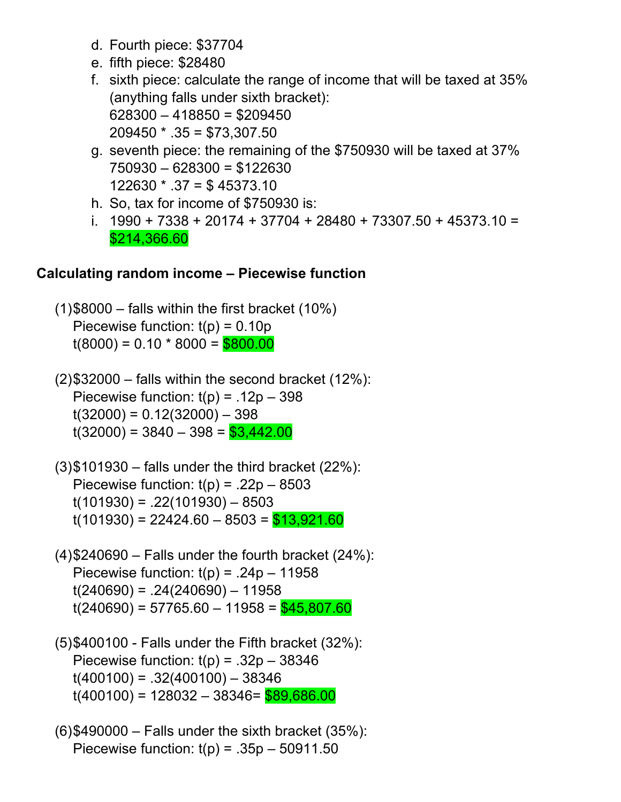- d. Fourth piece: \$37704
- e. fifth piece: \$28480
- f. sixth piece: calculate the range of income that will be taxed at 35% (anything falls under sixth bracket):  $628300 - 418850 = $209450$  $209450 * .35 = $73,307.50$
- g. seventh piece: the remaining of the \$750930 will be taxed at 37% 750930 – 628300 = \$122630 122630 \* .37 = \$ 45373.10
- h. So, tax for income of \$750930 is:
- i. 1990 + 7338 + 20174 + 37704 + 28480 + 73307.50 + 45373.10 = \$214,366.60

## **Calculating random income – Piecewise function**

 $(1)$ \$8000 – falls within the first bracket (10%) Piecewise function:  $t(p) = 0.10p$  $t(8000) = 0.10 * 8000 = $800.00$ 

 $(2)$ \$32000 – falls within the second bracket (12%): Piecewise function:  $t(p) = .12p - 398$  $t(32000) = 0.12(32000) - 398$  $t(32000) = 3840 - 398 = $3,442.00$ 

- $(3)$ \$101930 falls under the third bracket (22%): Piecewise function:  $t(p) = .22p - 8503$  $t(101930) = .22(101930) - 8503$  $t(101930) = 22424.60 - 8503 = $13,921.60$
- $(4)$ \$240690 Falls under the fourth bracket (24%): Piecewise function:  $t(p) = .24p - 11958$  $t(240690) = .24(240690) - 11958$  $t(240690) = 57765.60 - 11958 = $45,807.60$
- (5) \$400100 Falls under the Fifth bracket (32%): Piecewise function:  $t(p) = .32p - 38346$  $t(400100) = .32(400100) - 38346$  $t(400100) = 128032 - 38346 = $89,686.00$
- $(6)$ \$490000 Falls under the sixth bracket  $(35%)$ : Piecewise function:  $t(p) = .35p - 50911.50$